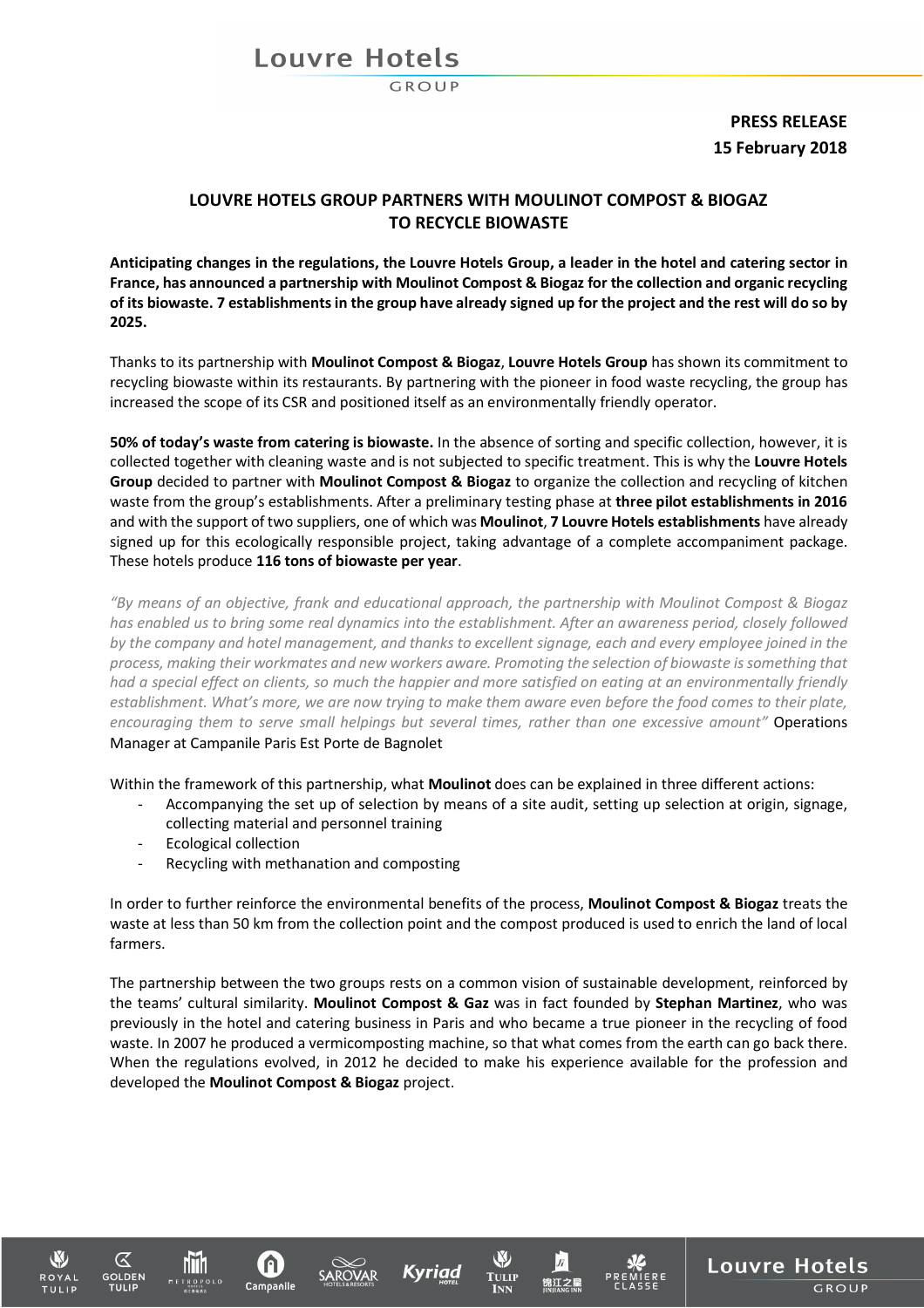## Louvre Hotels

## **PRESS RELEASE 15 February 2018**

**Louvre Hotels** 

GROUP

### **LOUVRE HOTELS GROUP PARTNERS WITH MOULINOT COMPOST & BIOGAZ TO RECYCLE BIOWASTE**

**Anticipating changes in the regulations, the Louvre Hotels Group, a leader in the hotel and catering sector in France, has announced a partnership with Moulinot Compost & Biogaz for the collection and organic recycling of its biowaste. 7 establishments in the group have already signed up for the project and the rest will do so by 2025.**

Thanks to its partnership with **Moulinot Compost & Biogaz**, **Louvre Hotels Group** has shown its commitment to recycling biowaste within its restaurants. By partnering with the pioneer in food waste recycling, the group has increased the scope of its CSR and positioned itself as an environmentally friendly operator.

**50% of today's waste from catering is biowaste.** In the absence of sorting and specific collection, however, it is collected together with cleaning waste and is not subjected to specific treatment. This is why the **Louvre Hotels Group** decided to partner with **Moulinot Compost & Biogaz** to organize the collection and recycling of kitchen waste from the group's establishments. After a preliminary testing phase at **three pilot establishments in 2016** and with the support of two suppliers, one of which was **Moulinot**, **7 Louvre Hotels establishments** have already signed up for this ecologically responsible project, taking advantage of a complete accompaniment package. These hotels produce **116 tons of biowaste per year**.

*"By means of an objective, frank and educational approach, the partnership with Moulinot Compost & Biogaz has enabled us to bring some real dynamics into the establishment. After an awareness period, closely followed by the company and hotel management, and thanks to excellent signage, each and every employee joined in the process, making their workmates and new workers aware. Promoting the selection of biowaste is something that had a special effect on clients, so much the happier and more satisfied on eating at an environmentally friendly establishment. What's more, we are now trying to make them aware even before the food comes to their plate, encouraging them to serve small helpings but several times, rather than one excessive amount"* Operations Manager at Campanile Paris Est Porte de Bagnolet

Within the framework of this partnership, what **Moulinot** does can be explained in three different actions:

- Accompanying the set up of selection by means of a site audit, setting up selection at origin, signage, collecting material and personnel training
- Ecological collection

hni 1

Recycling with methanation and composting

In order to further reinforce the environmental benefits of the process, **Moulinot Compost & Biogaz** treats the waste at less than 50 km from the collection point and the compost produced is used to enrich the land of local farmers.

The partnership between the two groups rests on a common vision of sustainable development, reinforced by the teams' cultural similarity. **Moulinot Compost & Gaz** was in fact founded by **Stephan Martinez**, who was previously in the hotel and catering business in Paris and who became a true pioneer in the recycling of food waste. In 2007 he produced a vermicomposting machine, so that what comes from the earth can go back there. When the regulations evolved, in 2012 he decided to make his experience available for the profession and developed the **Moulinot Compost & Biogaz** project.

Kyriad